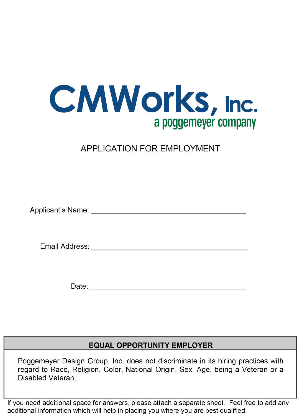

## **APPLICATION FOR EMPLOYMENT**

Applicant's Name: Applicant of the Second Second Second Second Second Second Second Second Second Second Second Second Second Second Second Second Second Second Second Second Second Second Second Second Second Second Secon

Email Address: Email Address:

Date: the contract of the contract of the contract of the contract of the contract of the contract of the contract of the contract of the contract of the contract of the contract of the contract of the contract of the cont

## **EQUAL OPPORTUNITY EMPLOYER**

Poggemeyer Design Group, Inc. does not discriminate in its hiring practices with regard to Race, Religion, Color, National Origin, Sex, Age, being a Veteran or a Disabled Veteran.

If you need additional space for answers, please attach a separate sheet. Feel free to add any additional information which will help in placing you where you are best qualified.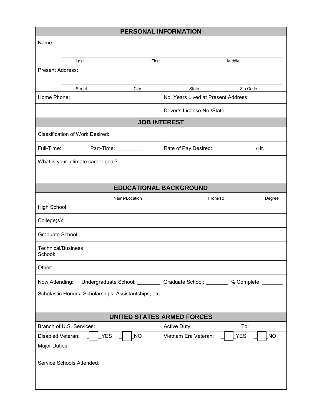| PERSONAL INFORMATION                                   |                                                           |  |
|--------------------------------------------------------|-----------------------------------------------------------|--|
| Name:                                                  |                                                           |  |
|                                                        |                                                           |  |
| Last<br>First                                          | Middle                                                    |  |
| <b>Present Address:</b>                                |                                                           |  |
|                                                        |                                                           |  |
| Street<br>City<br>Home Phone:                          | Zip Code<br>State<br>No. Years Lived at Present Address:  |  |
|                                                        | Driver's License No./State:                               |  |
|                                                        | <b>JOB INTEREST</b>                                       |  |
| <b>Classification of Work Desired:</b>                 |                                                           |  |
| Full-Time: Part-Time: _______                          | Rate of Pay Desired: _______________<br>/Hr.              |  |
| What is your ultimate career goal?                     |                                                           |  |
|                                                        |                                                           |  |
|                                                        | <b>EDUCATIONAL BACKGROUND</b>                             |  |
| Name/Location                                          | From/To<br>Degree                                         |  |
| High School:                                           |                                                           |  |
| College(s):                                            |                                                           |  |
| Graduate School:                                       |                                                           |  |
| <b>Technical/Business</b><br>School:                   |                                                           |  |
| Other:                                                 |                                                           |  |
| Now Attending:                                         | Undergraduate School: Caraduate School: Changes Monplete: |  |
| Scholastic Honors, Scholarships, Assistantships, etc.: |                                                           |  |
| <b>UNITED STATES ARMED FORCES</b>                      |                                                           |  |
| Branch of U.S. Services:                               | Active Duty:<br>To:                                       |  |
| <b>NO</b><br>Disabled Veteran:<br><b>YES</b>           | Vietnam Era Veteran:<br>YES<br><b>NO</b>                  |  |
| Major Duties:                                          |                                                           |  |
| Service Schools Attended:                              |                                                           |  |
|                                                        |                                                           |  |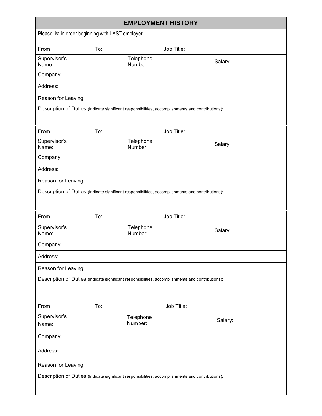| <b>EMPLOYMENT HISTORY</b>                                                                         |     |                      |            |         |
|---------------------------------------------------------------------------------------------------|-----|----------------------|------------|---------|
| Please list in order beginning with LAST employer.                                                |     |                      |            |         |
| From:                                                                                             | To: |                      | Job Title: |         |
| Supervisor's<br>Name:                                                                             |     | Telephone<br>Number: |            | Salary: |
| Company:                                                                                          |     |                      |            |         |
| Address:                                                                                          |     |                      |            |         |
| Reason for Leaving:                                                                               |     |                      |            |         |
| Description of Duties (Indicate significant responsibilities, accomplishments and contributions): |     |                      |            |         |
| From:                                                                                             | To: |                      | Job Title: |         |
| Supervisor's<br>Name:                                                                             |     | Telephone<br>Number: |            | Salary: |
| Company:                                                                                          |     |                      |            |         |
| Address:                                                                                          |     |                      |            |         |
| Reason for Leaving:                                                                               |     |                      |            |         |
| Description of Duties (Indicate significant responsibilities, accomplishments and contributions): |     |                      |            |         |
| From:                                                                                             | To: |                      | Job Title: |         |
| Supervisor's<br>Name:                                                                             |     | Telephone<br>Number: |            | Salary: |
| Company:                                                                                          |     |                      |            |         |
| Address:                                                                                          |     |                      |            |         |
| Reason for Leaving:                                                                               |     |                      |            |         |
| Description of Duties (Indicate significant responsibilities, accomplishments and contributions): |     |                      |            |         |
| From:                                                                                             | To: |                      | Job Title: |         |
| Supervisor's<br>Name:                                                                             |     | Telephone<br>Number: |            | Salary: |
| Company:                                                                                          |     |                      |            |         |
| Address:                                                                                          |     |                      |            |         |
| Reason for Leaving:                                                                               |     |                      |            |         |
| Description of Duties (Indicate significant responsibilities, accomplishments and contributions): |     |                      |            |         |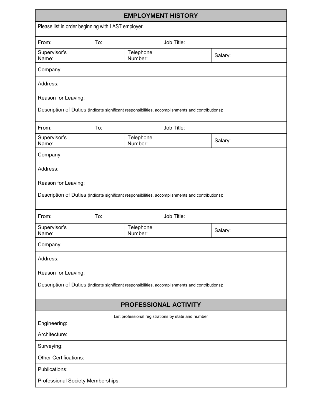| <b>EMPLOYMENT HISTORY</b>                                                                         |                      |            |         |  |
|---------------------------------------------------------------------------------------------------|----------------------|------------|---------|--|
| Please list in order beginning with LAST employer.                                                |                      |            |         |  |
| To:<br>From:                                                                                      |                      | Job Title: |         |  |
| Supervisor's<br>Name:                                                                             | Telephone<br>Number: |            | Salary: |  |
| Company:                                                                                          |                      |            |         |  |
| Address:                                                                                          |                      |            |         |  |
| Reason for Leaving:                                                                               |                      |            |         |  |
| Description of Duties (Indicate significant responsibilities, accomplishments and contributions): |                      |            |         |  |
| To:<br>From:                                                                                      |                      | Job Title: |         |  |
| Supervisor's<br>Name:                                                                             | Telephone<br>Number: |            | Salary: |  |
| Company:                                                                                          |                      |            |         |  |
| Address:                                                                                          |                      |            |         |  |
| Reason for Leaving:                                                                               |                      |            |         |  |
| Description of Duties (Indicate significant responsibilities, accomplishments and contributions): |                      |            |         |  |
| To:<br>From:                                                                                      |                      | Job Title: |         |  |
| Supervisor's<br>Name:                                                                             | Telephone<br>Number: |            | Salary: |  |
| Company:                                                                                          |                      |            |         |  |
| Address:                                                                                          |                      |            |         |  |
| Reason for Leaving:                                                                               |                      |            |         |  |
| Description of Duties (Indicate significant responsibilities, accomplishments and contributions): |                      |            |         |  |
| <b>PROFESSIONAL ACTIVITY</b>                                                                      |                      |            |         |  |
| List professional registrations by state and number<br>Engineering:                               |                      |            |         |  |
| Architecture:                                                                                     |                      |            |         |  |
| Surveying:                                                                                        |                      |            |         |  |
| <b>Other Certifications:</b>                                                                      |                      |            |         |  |
| Publications:                                                                                     |                      |            |         |  |
| Professional Society Memberships:                                                                 |                      |            |         |  |